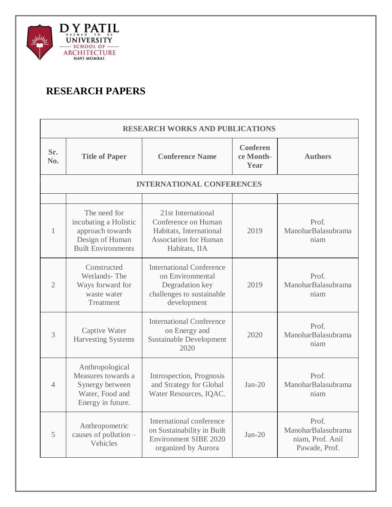

## **RESEARCH PAPERS**

| <b>RESEARCH WORKS AND PUBLICATIONS</b> |                                                                                                           |                                                                                                                       |                                      |                                                                  |
|----------------------------------------|-----------------------------------------------------------------------------------------------------------|-----------------------------------------------------------------------------------------------------------------------|--------------------------------------|------------------------------------------------------------------|
| Sr.<br>No.                             | <b>Title of Paper</b>                                                                                     | <b>Conference Name</b>                                                                                                | <b>Conferen</b><br>ce Month-<br>Year | <b>Authors</b>                                                   |
|                                        |                                                                                                           | <b>INTERNATIONAL CONFERENCES</b>                                                                                      |                                      |                                                                  |
|                                        |                                                                                                           |                                                                                                                       |                                      |                                                                  |
| 1                                      | The need for<br>incubating a Holistic<br>approach towards<br>Design of Human<br><b>Built Environments</b> | 21st International<br>Conference on Human<br>Habitats, International<br><b>Association for Human</b><br>Habitats, IIA | 2019                                 | Prof.<br>ManoharBalasubrama<br>niam                              |
| $\overline{2}$                         | Constructed<br>Wetlands-The<br>Ways forward for<br>waste water<br>Treatment                               | <b>International Conference</b><br>on Environmental<br>Degradation key<br>challenges to sustainable<br>development    | 2019                                 | Prof.<br>ManoharBalasubrama<br>niam                              |
| 3                                      | Captive Water<br><b>Harvesting Systems</b>                                                                | <b>International Conference</b><br>on Energy and<br><b>Sustainable Development</b><br>2020                            | 2020                                 | Prof.<br>ManoharBalasubrama<br>niam                              |
| $\overline{4}$                         | Anthropological<br>Measures towards a<br>Synergy between<br>Water, Food and<br>Energy in future.          | Introspection, Prognosis<br>and Strategy for Global<br>Water Resources, IQAC.                                         | $Jan-20$                             | Prof.<br>ManoharBalasubrama<br>niam                              |
| 5                                      | Anthropometric<br>causes of pollution -<br>Vehicles                                                       | International conference<br>on Sustainability in Built<br><b>Environment SIBE 2020</b><br>organized by Aurora         | $Jan-20$                             | Prof.<br>ManoharBalasubrama<br>niam, Prof. Anil<br>Pawade, Prof. |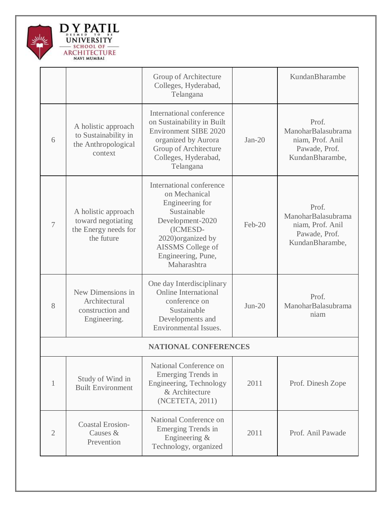

|                |                                                                                 | Group of Architecture<br>Colleges, Hyderabad,<br>Telangana                                                                                                                                  |          | KundanBharambe                                                                      |
|----------------|---------------------------------------------------------------------------------|---------------------------------------------------------------------------------------------------------------------------------------------------------------------------------------------|----------|-------------------------------------------------------------------------------------|
| 6              | A holistic approach<br>to Sustainability in<br>the Anthropological<br>context   | International conference<br>on Sustainability in Built<br><b>Environment SIBE 2020</b><br>organized by Aurora<br>Group of Architecture<br>Colleges, Hyderabad,<br>Telangana                 | $Jan-20$ | Prof.<br>ManoharBalasubrama<br>niam, Prof. Anil<br>Pawade, Prof.<br>KundanBharambe, |
| $\overline{7}$ | A holistic approach<br>toward negotiating<br>the Energy needs for<br>the future | International conference<br>on Mechanical<br>Engineering for<br>Sustainable<br>Development-2020<br>(ICMESD-<br>2020) organized by<br>AISSMS College of<br>Engineering, Pune,<br>Maharashtra | $Feb-20$ | Prof.<br>ManoharBalasubrama<br>niam, Prof. Anil<br>Pawade, Prof.<br>KundanBharambe, |
| 8              | New Dimensions in<br>Architectural<br>construction and<br>Engineering.          | One day Interdisciplinary<br><b>Online International</b><br>conference on<br>Sustainable<br>Developments and<br>Environmental Issues.                                                       | $Jun-20$ | Prof.<br>ManoharBalasubrama<br>niam                                                 |
|                |                                                                                 | <b>NATIONAL CONFERENCES</b>                                                                                                                                                                 |          |                                                                                     |
| $\mathbf{1}$   | Study of Wind in<br><b>Built Environment</b>                                    | National Conference on<br>Emerging Trends in<br>Engineering, Technology<br>& Architecture<br>(NCETETA, 2011)                                                                                | 2011     | Prof. Dinesh Zope                                                                   |
| $\overline{2}$ | <b>Coastal Erosion-</b><br>Causes &<br>Prevention                               | National Conference on<br>Emerging Trends in<br>Engineering &<br>Technology, organized                                                                                                      | 2011     | Prof. Anil Pawade                                                                   |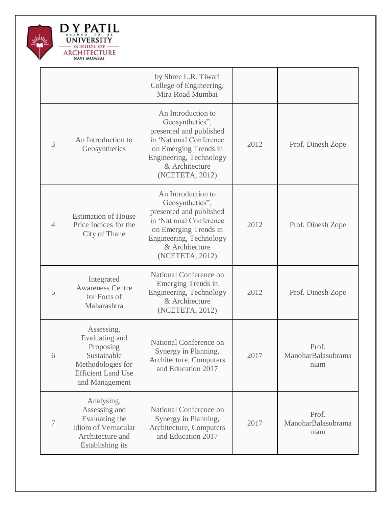

|                |                                                                                                                              | by Shree L.R. Tiwari<br>College of Engineering,<br>Mira Road Mumbai                                                                                                                  |      |                                     |
|----------------|------------------------------------------------------------------------------------------------------------------------------|--------------------------------------------------------------------------------------------------------------------------------------------------------------------------------------|------|-------------------------------------|
| 3              | An Introduction to<br>Geosynthetics                                                                                          | An Introduction to<br>Geosynthetics",<br>presented and published<br>in 'National Conference<br>on Emerging Trends in<br>Engineering, Technology<br>& Architecture<br>(NCETETA, 2012) | 2012 | Prof. Dinesh Zope                   |
| $\overline{4}$ | <b>Estimation of House</b><br>Price Indices for the<br>City of Thane                                                         | An Introduction to<br>Geosynthetics",<br>presented and published<br>in 'National Conference<br>on Emerging Trends in<br>Engineering, Technology<br>& Architecture<br>(NCETETA, 2012) | 2012 | Prof. Dinesh Zope                   |
| 5              | Integrated<br><b>Awareness Centre</b><br>for Forts of<br>Maharashtra                                                         | National Conference on<br>Emerging Trends in<br>Engineering, Technology<br>& Architecture<br>(NCETETA, 2012)                                                                         | 2012 | Prof. Dinesh Zope                   |
| 6              | Assessing,<br>Evaluating and<br>Proposing<br>Sustainable<br>Methodologies for<br><b>Efficient Land Use</b><br>and Management | National Conference on<br>Synergy in Planning,<br>Architecture, Computers<br>and Education 2017                                                                                      | 2017 | Prof.<br>ManoharBalasubrama<br>niam |
| 7              | Analysing,<br>Assessing and<br>Evaluating the<br>Idiom of Vernacular<br>Architecture and<br>Establishing its                 | National Conference on<br>Synergy in Planning,<br>Architecture, Computers<br>and Education 2017                                                                                      | 2017 | Prof.<br>ManoharBalasubrama<br>niam |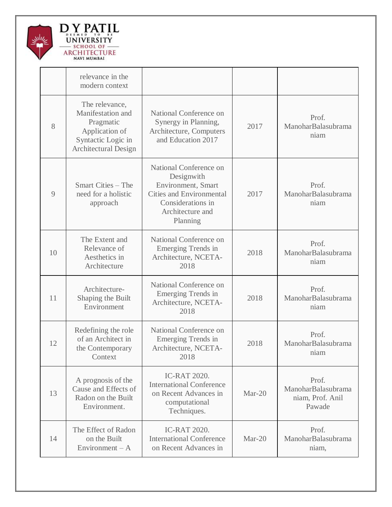

|    | relevance in the<br>modern context                                                                                      |                                                                                                                                                    |          |                                                           |
|----|-------------------------------------------------------------------------------------------------------------------------|----------------------------------------------------------------------------------------------------------------------------------------------------|----------|-----------------------------------------------------------|
| 8  | The relevance,<br>Manifestation and<br>Pragmatic<br>Application of<br>Syntactic Logic in<br><b>Architectural Design</b> | National Conference on<br>Synergy in Planning,<br>Architecture, Computers<br>and Education 2017                                                    | 2017     | Prof.<br>ManoharBalasubrama<br>niam                       |
| 9  | Smart Cities – The<br>need for a holistic<br>approach                                                                   | National Conference on<br>Designwith<br>Environment, Smart<br><b>Cities and Environmental</b><br>Considerations in<br>Architecture and<br>Planning | 2017     | Prof.<br>ManoharBalasubrama<br>niam                       |
| 10 | The Extent and<br>Relevance of<br>Aesthetics in<br>Architecture                                                         | National Conference on<br>Emerging Trends in<br>Architecture, NCETA-<br>2018                                                                       | 2018     | Prof.<br>ManoharBalasubrama<br>niam                       |
| 11 | Architecture-<br>Shaping the Built<br>Environment                                                                       | National Conference on<br>Emerging Trends in<br>Architecture, NCETA-<br>2018                                                                       | 2018     | Prof.<br>ManoharBalasubrama<br>niam                       |
| 12 | Redefining the role<br>of an Architect in<br>the Contemporary<br>Context                                                | National Conference on<br><b>Emerging Trends in</b><br>Architecture, NCETA-<br>2018                                                                | 2018     | Prof.<br>ManoharBalasubrama<br>niam                       |
| 13 | A prognosis of the<br>Cause and Effects of<br>Radon on the Built<br>Environment.                                        | <b>IC-RAT 2020.</b><br><b>International Conference</b><br>on Recent Advances in<br>computational<br>Techniques.                                    | Mar-20   | Prof.<br>ManoharBalasubrama<br>niam, Prof. Anil<br>Pawade |
| 14 | The Effect of Radon<br>on the Built<br>Environment $-A$                                                                 | <b>IC-RAT 2020.</b><br><b>International Conference</b><br>on Recent Advances in                                                                    | $Mar-20$ | Prof.<br>ManoharBalasubrama<br>niam,                      |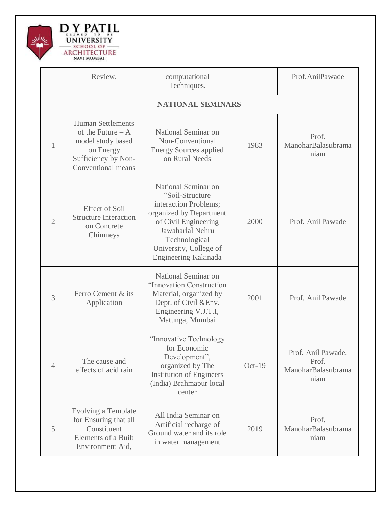

|                | Review.                                                                                                                       | computational<br>Techniques.                                                                                                                                                                              |          | Prof.AnilPawade                                           |
|----------------|-------------------------------------------------------------------------------------------------------------------------------|-----------------------------------------------------------------------------------------------------------------------------------------------------------------------------------------------------------|----------|-----------------------------------------------------------|
|                |                                                                                                                               | <b>NATIONAL SEMINARS</b>                                                                                                                                                                                  |          |                                                           |
| 1              | <b>Human Settlements</b><br>of the Future $-A$<br>model study based<br>on Energy<br>Sufficiency by Non-<br>Conventional means | National Seminar on<br>Non-Conventional<br><b>Energy Sources applied</b><br>on Rural Needs                                                                                                                | 1983     | Prof.<br>ManoharBalasubrama<br>niam                       |
| $\overline{2}$ | <b>Effect of Soil</b><br><b>Structure Interaction</b><br>on Concrete<br>Chimneys                                              | National Seminar on<br>"Soil-Structure<br>interaction Problems;<br>organized by Department<br>of Civil Engineering<br>Jawaharlal Nehru<br>Technological<br>University, College of<br>Engineering Kakinada | 2000     | Prof. Anil Pawade                                         |
| 3              | Ferro Cement & its<br>Application                                                                                             | National Seminar on<br>"Innovation Construction<br>Material, organized by<br>Dept. of Civil & Env.<br>Engineering V.J.T.I,<br>Matunga, Mumbai                                                             | 2001     | Prof. Anil Pawade                                         |
| $\overline{4}$ | The cause and<br>effects of acid rain                                                                                         | "Innovative Technology"<br>for Economic<br>Development",<br>organized by The<br><b>Institution of Engineers</b><br>(India) Brahmapur local<br>center                                                      | $Oct-19$ | Prof. Anil Pawade,<br>Prof.<br>ManoharBalasubrama<br>niam |
| 5              | Evolving a Template<br>for Ensuring that all<br>Constituent<br><b>Elements of a Built</b><br>Environment Aid,                 | All India Seminar on<br>Artificial recharge of<br>Ground water and its role<br>in water management                                                                                                        | 2019     | Prof.<br>ManoharBalasubrama<br>niam                       |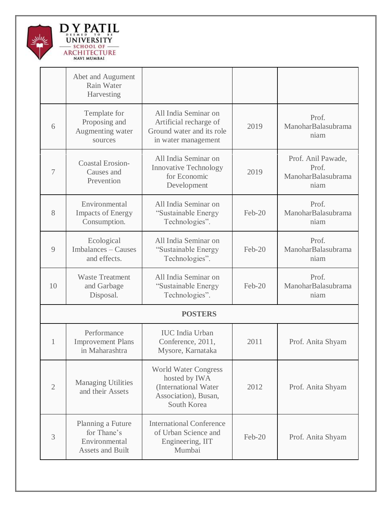

|                | Abet and Augument<br>Rain Water<br>Harvesting                                |                                                                                                             |          |                                                           |
|----------------|------------------------------------------------------------------------------|-------------------------------------------------------------------------------------------------------------|----------|-----------------------------------------------------------|
| 6              | Template for<br>Proposing and<br>Augmenting water<br>sources                 | All India Seminar on<br>Artificial recharge of<br>Ground water and its role<br>in water management          | 2019     | Prof.<br>ManoharBalasubrama<br>niam                       |
| 7              | <b>Coastal Erosion-</b><br>Causes and<br>Prevention                          | All India Seminar on<br><b>Innovative Technology</b><br>for Economic<br>Development                         | 2019     | Prof. Anil Pawade,<br>Prof.<br>ManoharBalasubrama<br>niam |
| 8              | Environmental<br><b>Impacts of Energy</b><br>Consumption.                    | All India Seminar on<br>"Sustainable Energy<br>Technologies".                                               | Feb-20   | Prof.<br>ManoharBalasubrama<br>niam                       |
| 9              | Ecological<br>Imbalances - Causes<br>and effects.                            | All India Seminar on<br>"Sustainable Energy<br>Technologies".                                               | $Feb-20$ | Prof.<br>ManoharBalasubrama<br>niam                       |
| 10             | <b>Waste Treatment</b><br>and Garbage<br>Disposal.                           | All India Seminar on<br>"Sustainable Energy<br>Technologies".                                               | $Feb-20$ | Prof.<br>ManoharBalasubrama<br>niam                       |
|                |                                                                              | <b>POSTERS</b>                                                                                              |          |                                                           |
| 1              | Performance<br><b>Improvement Plans</b><br>in Maharashtra                    | <b>IUC</b> India Urban<br>Conference, 2011,<br>Mysore, Karnataka                                            | 2011     | Prof. Anita Shyam                                         |
| $\mathfrak{2}$ | <b>Managing Utilities</b><br>and their Assets                                | <b>World Water Congress</b><br>hosted by IWA<br>(International Water<br>Association), Busan,<br>South Korea | 2012     | Prof. Anita Shyam                                         |
| 3              | Planning a Future<br>for Thane's<br>Environmental<br><b>Assets and Built</b> | <b>International Conference</b><br>of Urban Science and<br>Engineering, IIT<br>Mumbai                       | Feb-20   | Prof. Anita Shyam                                         |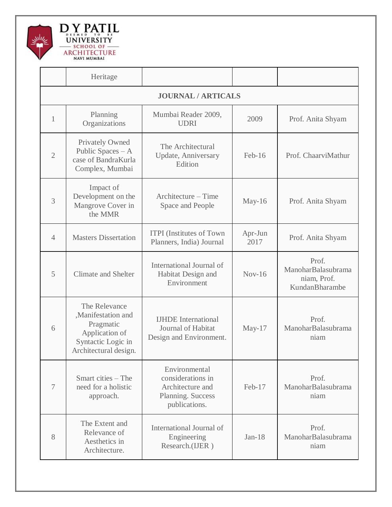

|                           | Heritage                                                                                                          |                                                                                              |                 |                                                              |
|---------------------------|-------------------------------------------------------------------------------------------------------------------|----------------------------------------------------------------------------------------------|-----------------|--------------------------------------------------------------|
| <b>JOURNAL / ARTICALS</b> |                                                                                                                   |                                                                                              |                 |                                                              |
| 1                         | Planning<br>Organizations                                                                                         | Mumbai Reader 2009,<br><b>UDRI</b>                                                           | 2009            | Prof. Anita Shyam                                            |
| $\overline{2}$            | <b>Privately Owned</b><br>Public Spaces $- A$<br>case of BandraKurla<br>Complex, Mumbai                           | The Architectural<br><b>Update</b> , Anniversary<br>Edition                                  | Feb-16          | Prof. ChaarviMathur                                          |
| 3                         | Impact of<br>Development on the<br>Mangrove Cover in<br>the MMR                                                   | Architecture – Time<br>Space and People                                                      | May-16          | Prof. Anita Shyam                                            |
| $\overline{4}$            | <b>Masters Dissertation</b>                                                                                       | <b>ITPI</b> (Institutes of Town<br>Planners, India) Journal                                  | Apr-Jun<br>2017 | Prof. Anita Shyam                                            |
| 5                         | <b>Climate and Shelter</b>                                                                                        | International Journal of<br>Habitat Design and<br>Environment                                | $Nov-16$        | Prof.<br>ManoharBalasubrama<br>niam, Prof.<br>KundanBharambe |
| 6                         | The Relevance<br>,Manifestation and<br>Pragmatic<br>Application of<br>Syntactic Logic in<br>Architectural design. | <b>IJHDE</b> International<br>Journal of Habitat<br>Design and Environment.                  | May- $17$       | Prof.<br>ManoharBalasubrama<br>niam                          |
| $\overline{7}$            | Smart cities – The<br>need for a holistic<br>approach.                                                            | Environmental<br>considerations in<br>Architecture and<br>Planning. Success<br>publications. | Feb-17          | Prof.<br>ManoharBalasubrama<br>niam                          |
| 8                         | The Extent and<br>Relevance of<br>Aesthetics in<br>Architecture.                                                  | International Journal of<br>Engineering<br>Research.(IJER)                                   | $Jan-18$        | Prof.<br>ManoharBalasubrama<br>niam                          |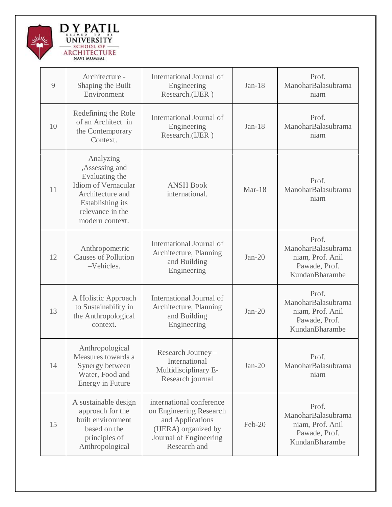

| 9  | Architecture -<br>Shaping the Built<br>Environment                                                                                                  | International Journal of<br>Engineering<br>Research.(IJER)                                                                                | $Jan-18$ | Prof.<br>ManoharBalasubrama<br>niam                                                |
|----|-----------------------------------------------------------------------------------------------------------------------------------------------------|-------------------------------------------------------------------------------------------------------------------------------------------|----------|------------------------------------------------------------------------------------|
| 10 | Redefining the Role<br>of an Architect in<br>the Contemporary<br>Context.                                                                           | International Journal of<br>Engineering<br>Research.(IJER)                                                                                | $Jan-18$ | Prof.<br>ManoharBalasubrama<br>niam                                                |
| 11 | Analyzing<br>,Assessing and<br>Evaluating the<br>Idiom of Vernacular<br>Architecture and<br>Establishing its<br>relevance in the<br>modern context. | <b>ANSH Book</b><br>international.                                                                                                        | Mar-18   | Prof.<br>ManoharBalasubrama<br>niam                                                |
| 12 | Anthropometric<br><b>Causes of Pollution</b><br>-Vehicles.                                                                                          | International Journal of<br>Architecture, Planning<br>and Building<br>Engineering                                                         | $Jan-20$ | Prof.<br>ManoharBalasubrama<br>niam, Prof. Anil<br>Pawade, Prof.<br>KundanBharambe |
| 13 | A Holistic Approach<br>to Sustainability in<br>the Anthropological<br>context.                                                                      | International Journal of<br>Architecture, Planning<br>and Building<br>Engineering                                                         | $Jan-20$ | Prof.<br>ManoharBalasubrama<br>niam, Prof. Anil<br>Pawade, Prof.<br>KundanBharambe |
| 14 | Anthropological<br>Measures towards a<br>Synergy between<br>Water, Food and<br><b>Energy in Future</b>                                              | Research Journey -<br>International<br>Multidisciplinary E-<br>Research journal                                                           | $Jan-20$ | Prof.<br>ManoharBalasubrama<br>niam                                                |
| 15 | A sustainable design<br>approach for the<br>built environment<br>based on the<br>principles of<br>Anthropological                                   | international conference<br>on Engineering Research<br>and Applications<br>(IJERA) organized by<br>Journal of Engineering<br>Research and | Feb-20   | Prof.<br>ManoharBalasubrama<br>niam, Prof. Anil<br>Pawade, Prof.<br>KundanBharambe |